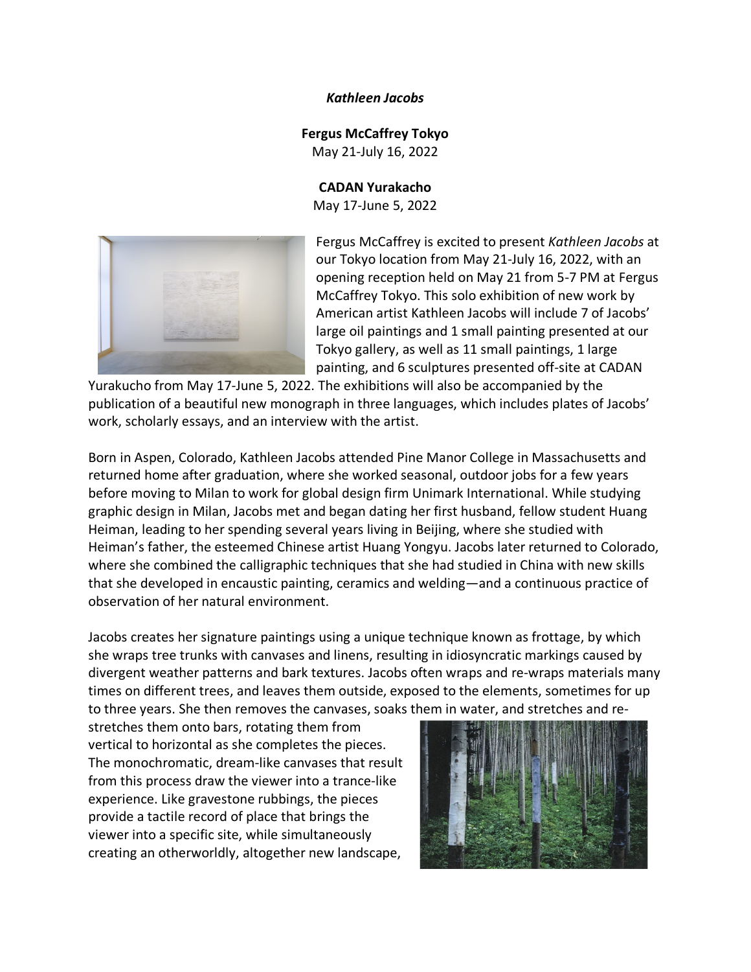#### *Kathleen Jacobs*

### **Fergus McCaffrey Tokyo**

May 21-July 16, 2022

### **CADAN Yurakacho**

May 17-June 5, 2022



Fergus McCaffrey is excited to present *Kathleen Jacobs* at our Tokyo location from May 21-July 16, 2022, with an opening reception held on May 21 from 5-7 PM at Fergus McCaffrey Tokyo. This solo exhibition of new work by American artist Kathleen Jacobs will include 7 of Jacobs' large oil paintings and 1 small painting presented at our Tokyo gallery, as well as 11 small paintings, 1 large painting, and 6 sculptures presented off-site at CADAN

Yurakucho from May 17-June 5, 2022. The exhibitions will also be accompanied by the publication of a beautiful new monograph in three languages, which includes plates of Jacobs' work, scholarly essays, and an interview with the artist.

Born in Aspen, Colorado, Kathleen Jacobs attended Pine Manor College in Massachusetts and returned home after graduation, where she worked seasonal, outdoor jobs for a few years before moving to Milan to work for global design firm Unimark International. While studying graphic design in Milan, Jacobs met and began dating her first husband, fellow student Huang Heiman, leading to her spending several years living in Beijing, where she studied with Heiman's father, the esteemed Chinese artist Huang Yongyu. Jacobs later returned to Colorado, where she combined the calligraphic techniques that she had studied in China with new skills that she developed in encaustic painting, ceramics and welding—and a continuous practice of observation of her natural environment.

Jacobs creates her signature paintings using a unique technique known as frottage, by which she wraps tree trunks with canvases and linens, resulting in idiosyncratic markings caused by divergent weather patterns and bark textures. Jacobs often wraps and re-wraps materials many times on different trees, and leaves them outside, exposed to the elements, sometimes for up to three years. She then removes the canvases, soaks them in water, and stretches and re-

stretches them onto bars, rotating them from vertical to horizontal as she completes the pieces. The monochromatic, dream-like canvases that result from this process draw the viewer into a trance-like experience. Like gravestone rubbings, the pieces provide a tactile record of place that brings the viewer into a specific site, while simultaneously creating an otherworldly, altogether new landscape,

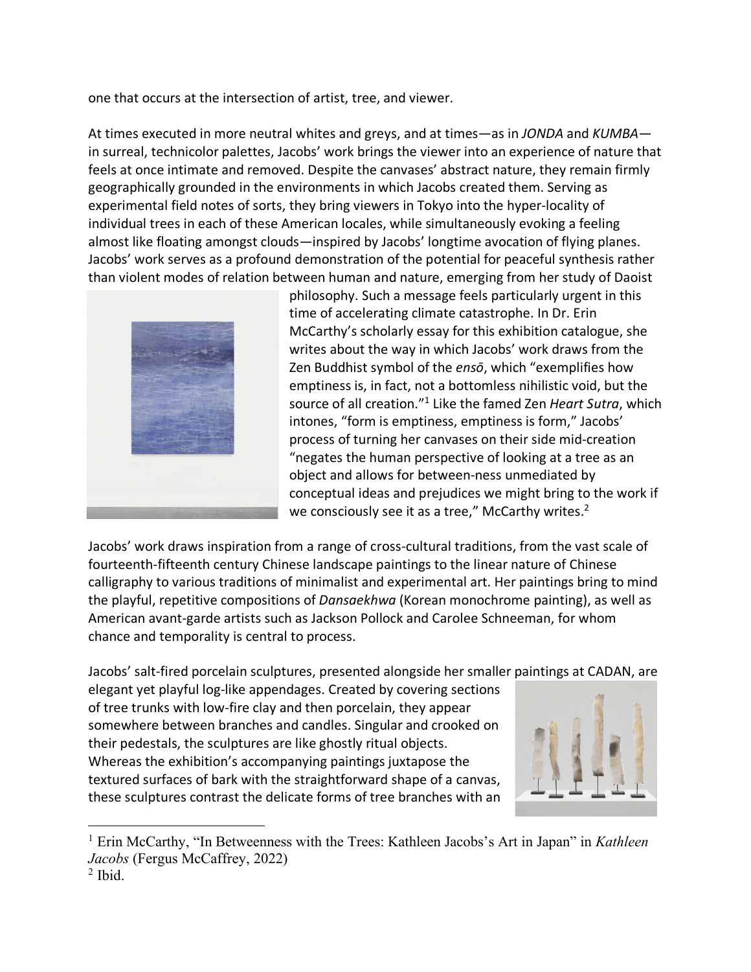one that occurs at the intersection of artist, tree, and viewer.

At times executed in more neutral whites and greys, and at times—as in *JONDA* and *KUMBA* in surreal, technicolor palettes, Jacobs' work brings the viewer into an experience of nature that feels at once intimate and removed. Despite the canvases' abstract nature, they remain firmly geographically grounded in the environments in which Jacobs created them. Serving as experimental field notes of sorts, they bring viewers in Tokyo into the hyper-locality of individual trees in each of these American locales, while simultaneously evoking a feeling almost like floating amongst clouds—inspired by Jacobs' longtime avocation of flying planes. Jacobs' work serves as a profound demonstration of the potential for peaceful synthesis rather than violent modes of relation between human and nature, emerging from her study of Daoist



philosophy. Such a message feels particularly urgent in this time of accelerating climate catastrophe. In Dr. Erin McCarthy's scholarly essay for this exhibition catalogue, she writes about the way in which Jacobs' work draws from the Zen Buddhist symbol of the *ensō*, which "exemplifies how emptiness is, in fact, not a bottomless nihilistic void, but the source of all creation."1 Like the famed Zen *Heart Sutra*, which intones, "form is emptiness, emptiness is form," Jacobs' process of turning her canvases on their side mid-creation "negates the human perspective of looking at a tree as an object and allows for between-ness unmediated by conceptual ideas and prejudices we might bring to the work if we consciously see it as a tree," McCarthy writes.<sup>2</sup>

Jacobs' work draws inspiration from a range of cross-cultural traditions, from the vast scale of fourteenth-fifteenth century Chinese landscape paintings to the linear nature of Chinese calligraphy to various traditions of minimalist and experimental art. Her paintings bring to mind the playful, repetitive compositions of *Dansaekhwa* (Korean monochrome painting), as well as American avant-garde artists such as Jackson Pollock and Carolee Schneeman, for whom chance and temporality is central to process.

Jacobs' salt-fired porcelain sculptures, presented alongside her smaller paintings at CADAN, are

elegant yet playful log-like appendages. Created by covering sections of tree trunks with low-fire clay and then porcelain, they appear somewhere between branches and candles. Singular and crooked on their pedestals, the sculptures are like ghostly ritual objects. Whereas the exhibition's accompanying paintings juxtapose the textured surfaces of bark with the straightforward shape of a canvas, these sculptures contrast the delicate forms of tree branches with an



 <sup>1</sup> Erin McCarthy, "In Betweenness with the Trees: Kathleen Jacobs's Art in Japan" in *Kathleen Jacobs* (Fergus McCaffrey, 2022)

 $<sup>2</sup>$  Ibid.</sup>